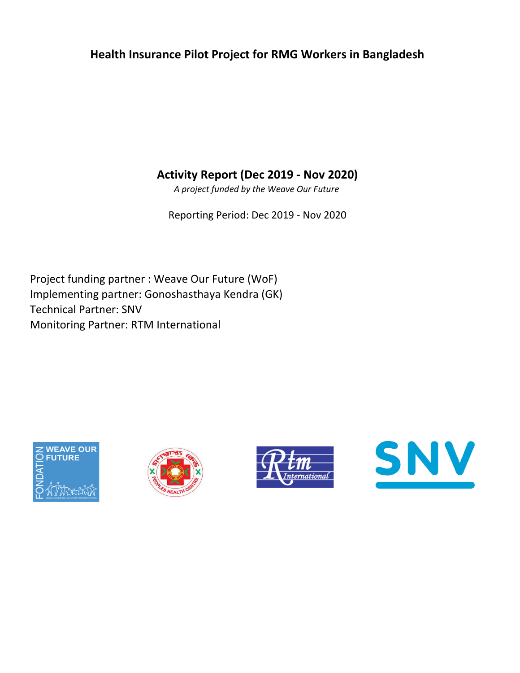## Health Insurance Pilot Project for RMG Workers in Bangladesh

Activity Report (Dec 2019 - Nov 2020)

A project funded by the Weave Our Future

Reporting Period: Dec 2019 - Nov 2020

Implementing partner: Gonoshasthaya Kendra (GK) Technical Partner: SNV Monitoring Partner: RTM International Project funding partner : Weave Our Future (WoF)







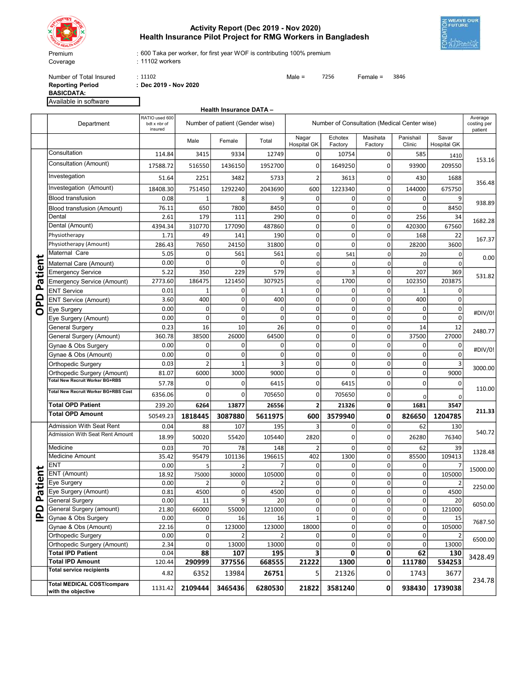

## Activity Report (Dec 2019 - Nov 2020) Health Insurance Pilot Project for RMG Workers in Bangladesh



600 Taka per worker, for first year WOF is contributing 100% premium

11102 workers

Number of Total-Insured : 11102<br> **Reporting Period** : Dec 2019 - Nov 2020<br> **Reporting Period** : Dec 2019 - Nov 2020 BASICDATA:

: Dec 2019 - Nov 2020

|                         | Available in software                                   |                                           |                                 |                                |                          |                                              |                    |                     |                            |                             |                                   |
|-------------------------|---------------------------------------------------------|-------------------------------------------|---------------------------------|--------------------------------|--------------------------|----------------------------------------------|--------------------|---------------------|----------------------------|-----------------------------|-----------------------------------|
|                         |                                                         |                                           |                                 | <b>Health Insurance DATA -</b> |                          |                                              |                    |                     |                            |                             |                                   |
|                         | Department                                              | RATIO used 600<br>bdt x nbr of<br>insured | Number of patient (Gender wise) |                                |                          | Number of Consultation (Medical Center wise) |                    |                     |                            |                             | Average<br>costing per<br>patient |
|                         |                                                         |                                           | Male                            | Female                         | Total                    | Nagar<br><b>Hospital GK</b>                  | Echotex<br>Factory | Masihata<br>Factory | Panishail<br>Clinic        | Savar<br><b>Hospital GK</b> |                                   |
|                         | Consultation                                            | 114.84                                    | 3415                            | 9334                           | 12749                    | 0                                            | 10754              | 0                   | 585                        | 1410                        |                                   |
|                         | Consultation (Amount)                                   | 17588.72                                  | 516550                          | 1436150                        | 1952700                  | 0                                            | 1649250            | 0                   | 93900                      | 209550                      | 153.16                            |
|                         | Investegation                                           | 51.64                                     | 2251                            | 3482                           | 5733                     | $\overline{2}$                               | 3613               | 0                   | 430                        | 1688                        | 356.48                            |
|                         | Investegation (Amount)                                  | 18408.30                                  | 751450                          | 1292240                        | 2043690                  | 600                                          | 1223340            | $\mathbf 0$         | 144000                     | 675750                      |                                   |
|                         | <b>Blood transfusion</b>                                | 0.08                                      | 1                               | 8                              | 9                        | 0                                            | $\Omega$           | $\mathbf 0$         | $\mathbf 0$                | 9                           |                                   |
|                         | Blood transfusion (Amount)                              | 76.11                                     | 650                             | 7800                           | 8450                     | 0                                            | 0                  | $\mathbf 0$         | $\mathbf 0$                | 8450                        | 938.89                            |
|                         | Dental                                                  | 2.61                                      | 179                             | 111                            | 290                      | 0                                            | 0                  | $\mathbf 0$         | 256                        | 34                          |                                   |
|                         | Dental (Amount)                                         | 4394.34                                   | 310770                          | 177090                         | 487860                   | 0                                            | 0                  | $\mathbf 0$         | 420300                     | 67560                       | 1682.28                           |
|                         | Physiotherapy                                           | 1.71                                      | 49                              | 141                            | 190                      | 0                                            | $\Omega$           | $\mathbf 0$         | 168                        | 22                          |                                   |
|                         | Physiotherapy (Amount)                                  | 286.43                                    | 7650                            | 24150                          | 31800                    | 0                                            | $\Omega$           | $\mathbf 0$         | 28200                      | 3600                        | 167.37                            |
|                         | Maternal Care                                           | 5.05                                      | $\overline{0}$                  | 561                            | 561                      | 0                                            | 541                | $\mathbf 0$         | 20                         | 0                           |                                   |
| ى                       | Maternal Care (Amount)                                  | 0.00                                      | 0                               | 0                              | 0                        | $\mathbf 0$                                  | $\Omega$           | 0                   | $\Omega$                   | $\Omega$                    | 0.00                              |
|                         | <b>Emergency Service</b>                                | 5.22                                      | 350                             | 229                            | 579                      | $\mathbf 0$                                  | 3                  | 0                   | 207                        | 369                         |                                   |
| atient                  | <b>Emergency Service (Amount)</b>                       | 2773.60                                   | 186475                          | 121450                         | 307925                   | 0                                            | 1700               | $\mathbf 0$         | 102350                     | 203875                      | 531.82                            |
| Ä                       | <b>ENT Service</b>                                      | 0.01                                      | 1                               | 0                              | 1                        | 0                                            | $\Omega$           | $\mathbf 0$         | $\mathbf{1}$               | $\overline{0}$              |                                   |
| <u>n</u>                | <b>ENT Service (Amount)</b>                             | 3.60                                      | 400                             | 0                              | 400                      | 0                                            | $\Omega$           | $\mathbf 0$         | 400                        | 0                           |                                   |
| $\overline{\mathbf{C}}$ | Eye Surgery                                             | 0.00                                      | 0                               | 0                              | 0                        | 0                                            | 0                  | 0                   | $\mathbf 0$                | 0                           | #DIV/0!<br>2480.77                |
|                         | Eye Surgery (Amount)                                    | 0.00                                      | $\overline{0}$                  | 0                              | $\Omega$                 | 0                                            | 0                  | $\mathbf 0$         | $\Omega$                   | $\Omega$                    |                                   |
|                         | <b>General Surgery</b>                                  | 0.23                                      | 16                              | 10                             | 26                       | 0                                            | 0                  | $\mathbf 0$         | 14                         | 12                          |                                   |
|                         | General Surgery (Amount)                                | 360.78                                    | 38500                           | 26000                          | 64500                    | 0                                            | 0                  | 0                   | 37500                      | 27000                       |                                   |
|                         | Gynae & Obs Surgery                                     | 0.00                                      | $\overline{0}$                  | 0                              | $\Omega$                 | 0                                            | $\mathbf 0$        | $\mathbf 0$         | $\mathbf 0$                | 0                           |                                   |
|                         | Gynae & Obs (Amount)                                    | 0.00                                      | 0                               | 0                              | 0                        | 0                                            | 0                  | 0                   | $\mathbf 0$                | $\Omega$                    | #DIV/0!                           |
|                         | <b>Orthopedic Surgery</b>                               | 0.03                                      | $\overline{2}$                  | $\mathbf{1}$                   | 3                        | 0                                            | $\mathbf 0$        | $\mathbf 0$         | $\mathbf 0$                |                             |                                   |
|                         | Orthopedic Surgery (Amount)                             | 81.07                                     | 6000                            | 3000                           | 9000                     | 0                                            | $\Omega$           | $\mathbf 0$         | $\Omega$                   | 9000                        | 3000.00                           |
|                         | <b>Total New Recruit Worker BG+RBS</b>                  | 57.78                                     | $\overline{0}$                  | 0                              | 6415                     | $\mathbf 0$                                  | 6415               | 0                   | $\Omega$                   | 0                           | 110.00                            |
|                         | Total New Recruit Worker BG+RBS Cost                    | 6356.06                                   | $\Omega$                        | $\Omega$                       | 705650                   | 0                                            | 705650             | $\mathbf 0$         | $\mathbf 0$                | 0                           |                                   |
|                         | <b>Total OPD Patient</b>                                | 239.20                                    | 6264                            | 13877                          | 26556                    | $\overline{2}$                               | 21326              | 0                   | 1681                       | 3547                        |                                   |
|                         | <b>Total OPD Amount</b>                                 | 50549.23                                  | 1818445                         | 3087880                        | 5611975                  | 600                                          | 3579940            | 0                   | 826650                     | 1204785                     | 211.33                            |
|                         | <b>Admission With Seat Rent</b>                         | 0.04                                      | 88                              | 107                            | 195                      | 3                                            | $\Omega$           | $\mathbf 0$         | 62                         | 130                         |                                   |
|                         | Admission With Seat Rent Amount                         | 18.99                                     | 50020                           | 55420                          | 105440                   | 2820                                         | 0                  | $\mathbf 0$         | 26280                      | 76340                       | 540.72                            |
|                         |                                                         |                                           |                                 |                                |                          |                                              |                    |                     |                            |                             |                                   |
|                         | Medicine                                                | 0.03                                      | 70                              | 78                             | 148                      | $\overline{2}$                               | $\Omega$           | $\mathbf 0$         | 62                         | 39                          | 1328.48                           |
|                         | <b>Medicine Amount</b><br><b>ENT</b>                    | 35.42                                     | 95479                           | 101136                         | 196615                   | 402                                          | 1300<br>$\Omega$   | 0<br>$\mathbf 0$    | 85500                      | 109413                      |                                   |
| ⊆                       | <b>ENT</b> (Amount)                                     | 0.00<br>18.92                             | 5 <sup>1</sup><br>75000         | $\overline{2}$<br>30000        | $\overline{7}$<br>105000 | 0<br>0                                       | ٥l                 | 0                   | $\mathbf 0$<br>$\mathbf 0$ | 105000                      | 15000.00                          |
|                         | Eye Surgery                                             | 0.00                                      | $\overline{2}$                  | 0                              | $\overline{2}$           | 0                                            | 0                  | $\mathbf 0$         | $\mathbf 0$                | $\overline{2}$              |                                   |
| atie                    | Eye Surgery (Amount)                                    | 0.81                                      | 4500                            | $\overline{0}$                 | 4500                     | $\mathsf{O}\xspace$                          | $\overline{0}$     | 0                   | $\mathbf 0$                | 4500                        | 2250.00                           |
| Ä,                      | <b>General Surgery</b>                                  | 0.00                                      | 11                              | $\mathsf{g}$                   | 20                       | $\mathsf{O}\xspace$                          | 0                  | $\mathbf 0$         | $\overline{0}$             | 20                          |                                   |
|                         | General Surgery (amount)                                | 21.80                                     | 66000                           | 55000                          | 121000                   | $\mathsf{O}\xspace$                          | 0                  | 0                   | 0                          | 121000                      | 6050.00                           |
| <u>ndi</u>              | Gynae & Obs Surgery                                     | 0.00                                      | $\overline{0}$                  | 16                             | 16                       | $\mathbf{1}$                                 | $\overline{0}$     | $\mathbf 0$         | $\Omega$                   | 15                          |                                   |
|                         | Gynae & Obs (Amount)                                    | 22.16                                     | $\overline{0}$                  | 123000                         | 123000                   | 18000                                        | $\overline{0}$     | $\mathbf 0$         | $\Omega$                   | 105000                      | 7687.50                           |
|                         | Orthopedic Surgery                                      | 0.00                                      | $\overline{0}$                  | $\overline{2}$                 | 2                        | 0                                            | $\overline{0}$     | $\mathbf 0$         | 0                          |                             |                                   |
|                         | Orthopedic Surgery (Amount)                             | 2.34                                      | $\overline{0}$                  | 13000                          | 13000                    | $\pmb{0}$                                    | $\overline{0}$     | $\mathbf 0$         | $\overline{0}$             | 13000                       | 6500.00                           |
|                         | <b>Total IPD Patient</b>                                | 0.04                                      | 88                              | 107                            | 195                      | $\overline{\mathbf{3}}$                      | $\mathbf{0}$       | 0                   | 62                         | 130                         | 3428.49                           |
|                         | <b>Total IPD Amount</b>                                 | 120.44                                    | 290999                          | 377556                         | 668555                   | 21222                                        | 1300               | 0                   | 111780                     | 534253                      |                                   |
|                         | <b>Total service recipients</b>                         | 4.82                                      | 6352                            | 13984                          | 26751                    | 5                                            | 21326              | 0                   | 1743                       | 3677                        | 234.78                            |
|                         | <b>Total MEDICAL COST/compare</b><br>with the objective | 1131.42                                   | 2109444                         | 3465436                        | 6280530                  | 21822                                        | 3581240            | 0                   | 938430                     | 1739038                     |                                   |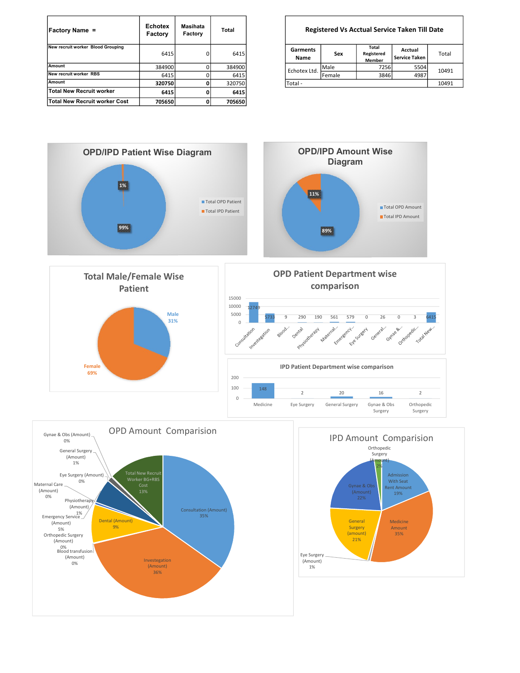| <b>Factory Name =</b>             | <b>Echotex</b><br>Factory | Masihata<br>Factory | Total  |                  | <b>Registered Vs Acctual Service Taken Till Date</b> |                               |                                 |       |
|-----------------------------------|---------------------------|---------------------|--------|------------------|------------------------------------------------------|-------------------------------|---------------------------------|-------|
| New recruit worker Blood Grouping | 6415                      | 0                   | 6415   | Garments<br>Name | Sex                                                  | Total<br>Registered<br>Member | Acctual<br><b>Service Taken</b> | Total |
| <b>Amount</b>                     | 384900                    |                     | 384900 | Echotex Ltd.     | Male                                                 | 7256                          | 5504                            | 10491 |
| New recruit worker RBS            | 6415                      |                     | 6415   |                  | Female                                               | 3846                          | 4987                            |       |
| Amount                            | 320750                    |                     | 320750 | Total -          |                                                      |                               |                                 | 10491 |
| Total New Recruit worker          | 6415                      |                     | 6415   |                  |                                                      |                               |                                 |       |
| Total New Recruit worker Cost     | 705650                    |                     | 705650 |                  |                                                      |                               |                                 |       |

Registered Vs Acctual Service Taken Till Date

| Garments<br>Name | Sex    | Total<br>Registered<br><b>Member</b> | Acctual<br><b>Service Taken</b> | Total |  |
|------------------|--------|--------------------------------------|---------------------------------|-------|--|
| Echotex Ltd.     | Male   | 7256                                 | 5504                            | 10491 |  |
|                  | Female | 3846                                 | 4987                            |       |  |
| Total -          | 10491  |                                      |                                 |       |  |





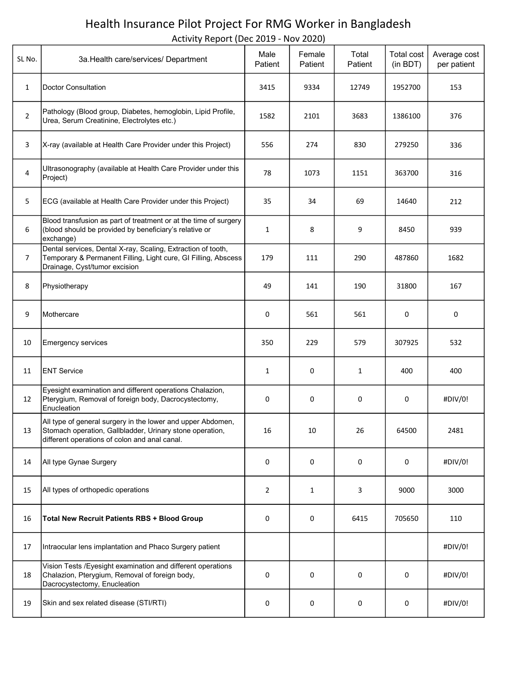## Health Insurance Pilot Project For RMG Worker in Bangladesh

Activity Report (Dec 2019 - Nov 2020)

| SL No.         | 3a. Health care/services/ Department                                                                                                                                     | Male<br>Patient | Female<br>Patient | Total<br>Patient | Total cost<br>(in BDT) | Average cost<br>per patient |
|----------------|--------------------------------------------------------------------------------------------------------------------------------------------------------------------------|-----------------|-------------------|------------------|------------------------|-----------------------------|
| $\mathbf{1}$   | <b>Doctor Consultation</b>                                                                                                                                               | 3415            | 9334              | 12749            | 1952700                | 153                         |
| $\overline{2}$ | Pathology (Blood group, Diabetes, hemoglobin, Lipid Profile,<br>Urea, Serum Creatinine, Electrolytes etc.)                                                               | 1582            | 2101              | 3683             | 1386100                | 376                         |
| 3              | X-ray (available at Health Care Provider under this Project)                                                                                                             | 556             | 274               | 830              | 279250                 | 336                         |
| 4              | Ultrasonography (available at Health Care Provider under this<br>Project)                                                                                                | 78              | 1073              | 1151             | 363700                 | 316                         |
| 5              | ECG (available at Health Care Provider under this Project)                                                                                                               | 35              | 34                | 69               | 14640                  | 212                         |
| 6              | Blood transfusion as part of treatment or at the time of surgery<br>(blood should be provided by beneficiary's relative or<br>exchange)                                  | $\mathbf{1}$    | 8                 | 9                | 8450                   | 939                         |
| $\overline{7}$ | Dental services, Dental X-ray, Scaling, Extraction of tooth,<br>Temporary & Permanent Filling, Light cure, GI Filling, Abscess<br>Drainage, Cyst/tumor excision          | 179             | 111               | 290              | 487860                 | 1682                        |
| 8              | Physiotherapy                                                                                                                                                            | 49              | 141               | 190              | 31800                  | 167                         |
| 9              | Mothercare                                                                                                                                                               | 0               | 561               | 561              | 0                      | 0                           |
| 10             | <b>Emergency services</b>                                                                                                                                                | 350             | 229               | 579              | 307925                 | 532                         |
| 11             | <b>ENT Service</b>                                                                                                                                                       | 1               | 0                 | $\mathbf{1}$     | 400                    | 400                         |
| 12             | Eyesight examination and different operations Chalazion,<br>Pterygium, Removal of foreign body, Dacrocystectomy,<br>Enucleation                                          | 0               | 0                 | 0                | 0                      | #DIV/0!                     |
| 13             | All type of general surgery in the lower and upper Abdomen,<br>Stomach operation, Gallbladder, Urinary stone operation,<br>different operations of colon and anal canal. | 16              | 10                | 26               | 64500                  | 2481                        |
| 14             | All type Gynae Surgery                                                                                                                                                   | 0               | 0                 | 0                | 0                      | #DIV/0!                     |
| 15             | All types of orthopedic operations                                                                                                                                       | 2               | 1                 | 3                | 9000                   | 3000                        |
| 16             | <b>Total New Recruit Patients RBS + Blood Group</b>                                                                                                                      | 0               | 0                 | 6415             | 705650                 | 110                         |
| 17             | Intraocular lens implantation and Phaco Surgery patient                                                                                                                  |                 |                   |                  |                        | #DIV/0!                     |
| 18             | Vision Tests /Eyesight examination and different operations<br>Chalazion, Pterygium, Removal of foreign body,<br>Dacrocystectomy, Enucleation                            | 0               | 0                 | 0                | 0                      | #DIV/0!                     |
| 19             | Skin and sex related disease (STI/RTI)                                                                                                                                   | 0               | 0                 | 0                | 0                      | #DIV/0!                     |